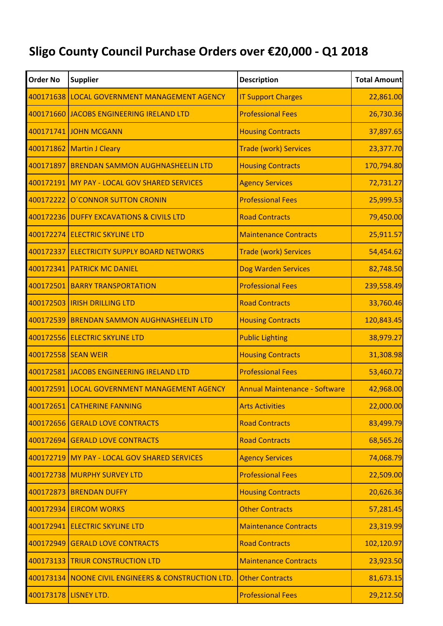## **Sligo County Council Purchase Orders over €20,000 - Q1 2018**

| <b>Order No</b> | <b>Supplier</b>                                     | <b>Description</b>                   | <b>Total Amount</b> |
|-----------------|-----------------------------------------------------|--------------------------------------|---------------------|
|                 | 400171638 LOCAL GOVERNMENT MANAGEMENT AGENCY        | <b>IT Support Charges</b>            | 22,861.00           |
|                 | 400171660 JACOBS ENGINEERING IRELAND LTD            | <b>Professional Fees</b>             | 26,730.36           |
|                 | 400171741 JOHN MCGANN                               | <b>Housing Contracts</b>             | 37,897.65           |
|                 | 400171862 Martin J Cleary                           | <b>Trade (work) Services</b>         | 23,377.70           |
|                 | 400171897 BRENDAN SAMMON AUGHNASHEELIN LTD          | <b>Housing Contracts</b>             | 170,794.80          |
|                 | 400172191 MY PAY - LOCAL GOV SHARED SERVICES        | <b>Agency Services</b>               | 72,731.27           |
|                 | 400172222 O'CONNOR SUTTON CRONIN                    | <b>Professional Fees</b>             | 25,999.53           |
|                 | 400172236 DUFFY EXCAVATIONS & CIVILS LTD            | <b>Road Contracts</b>                | 79,450.00           |
|                 | 400172274 ELECTRIC SKYLINE LTD                      | <b>Maintenance Contracts</b>         | 25,911.57           |
| 400172337       | <b>ELECTRICITY SUPPLY BOARD NETWORKS</b>            | <b>Trade (work) Services</b>         | 54,454.62           |
|                 | 400172341 PATRICK MC DANIEL                         | <b>Dog Warden Services</b>           | 82,748.50           |
|                 | 400172501 BARRY TRANSPORTATION                      | <b>Professional Fees</b>             | 239,558.49          |
|                 | 400172503   IRISH DRILLING LTD                      | <b>Road Contracts</b>                | 33,760.46           |
|                 | 400172539 BRENDAN SAMMON AUGHNASHEELIN LTD          | <b>Housing Contracts</b>             | 120,843.45          |
|                 | 400172556 ELECTRIC SKYLINE LTD                      | <b>Public Lighting</b>               | 38,979.27           |
|                 | 400172558 SEAN WEIR                                 | <b>Housing Contracts</b>             | 31,308.98           |
|                 | 400172581 JACOBS ENGINEERING IRELAND LTD            | <b>Professional Fees</b>             | 53,460.72           |
|                 | 400172591 LOCAL GOVERNMENT MANAGEMENT AGENCY        | <b>Annual Maintenance - Software</b> | 42,968.00           |
|                 | 400172651 CATHERINE FANNING                         | <b>Arts Activities</b>               | 22,000.00           |
|                 | 400172656 GERALD LOVE CONTRACTS                     | <b>Road Contracts</b>                | 83,499.79           |
|                 | 400172694 GERALD LOVE CONTRACTS                     | <b>Road Contracts</b>                | 68,565.26           |
|                 | 400172719 MY PAY - LOCAL GOV SHARED SERVICES        | <b>Agency Services</b>               | 74,068.79           |
|                 | 400172738 MURPHY SURVEY LTD                         | <b>Professional Fees</b>             | 22,509.00           |
|                 | 400172873 BRENDAN DUFFY                             | <b>Housing Contracts</b>             | 20,626.36           |
|                 | 400172934 EIRCOM WORKS                              | <b>Other Contracts</b>               | 57,281.45           |
|                 | 400172941 ELECTRIC SKYLINE LTD                      | <b>Maintenance Contracts</b>         | 23,319.99           |
|                 | 400172949 GERALD LOVE CONTRACTS                     | <b>Road Contracts</b>                | 102,120.97          |
|                 | 400173133 TRIUR CONSTRUCTION LTD                    | <b>Maintenance Contracts</b>         | 23,923.50           |
|                 | 400173134 NOONE CIVIL ENGINEERS & CONSTRUCTION LTD. | <b>Other Contracts</b>               | 81,673.15           |
|                 | 400173178 LISNEY LTD.                               | <b>Professional Fees</b>             | 29,212.50           |